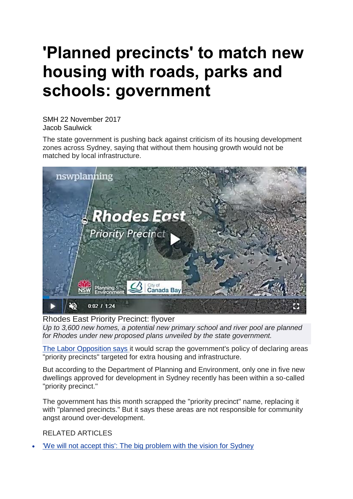## **'Planned precincts' to match new housing with roads, parks and schools: government**

SMH 22 November 2017 Jacob Saulwick

The state government is pushing back against criticism of its housing development zones across Sydney, saying that without them housing growth would not be matched by local infrastructure.



Rhodes East Priority Precinct: flyover

*Up to 3,600 new homes, a potential new primary school and river pool are planned for Rhodes under new proposed plans unveiled by the state government.*

The Labor [Opposition](http://www.smh.com.au/nsw/labor-promises-major-planning-overhaul-for-sydney-if-elected-in-2019-20171020-gz53ns.html) says it would scrap the government's policy of declaring areas "priority precincts" targeted for extra housing and infrastructure.

But according to the Department of Planning and Environment, only one in five new dwellings approved for development in Sydney recently has been within a so-called "priority precinct."

The government has this month scrapped the "priority precinct" name, replacing it with "planned precincts." But it says these areas are not responsible for community angst around over-development.

RELATED ARTICLES

'We will not accept this': The big [problem](http://www.canberratimes.com.au/business/the-economy/is-sydney-really-full-the-politics-of-urban-density-20171102-gzdc9t.html) with the vision for Sydney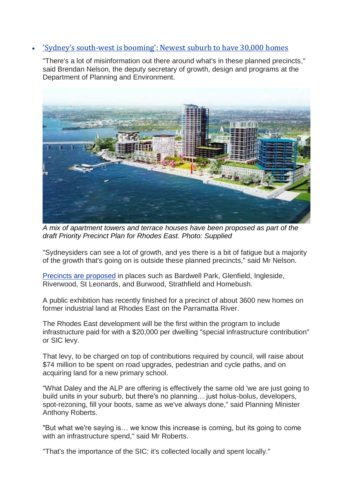## • 'Sydney's [south-west](http://www.canberratimes.com.au/nsw/new-suburbs-drawn-on-the-western-sydney-map-near-badgerys-creek-airport-site-20171121-gzpoxc.html) is booming': Newest suburb to have 30,000 homes

"There's a lot of misinformation out there around what's in these planned precincts," said Brendan Nelson, the deputy secretary of growth, design and programs at the Department of Planning and Environment.



*A mix of apartment towers and terrace houses have been proposed as part of the draft Priority Precinct Plan for Rhodes East. Photo: Supplied*

"Sydneysiders can see a lot of growth, and yes there is a bit of fatigue but a majority of the growth that's going on is outside these planned precincts," said Mr Nelson.

Precincts are [proposed](http://www.planning.nsw.gov.au/Plans-for-your-area/Priority-Growth-Areas-and-Precincts) in places such as Bardwell Park, Glenfield, Ingleside, Riverwood, St Leonards, and Burwood, Strathfield and Homebush.

A public exhibition has recently finished for a precinct of about 3600 new homes on former industrial land at Rhodes East on the Parramatta River.

The Rhodes East development will be the first within the program to include infrastructure paid for with a \$20,000 per dwelling "special infrastructure contribution" or SIC levy.

That levy, to be charged on top of contributions required by council, will raise about \$74 million to be spent on road upgrades, pedestrian and cycle paths, and on acquiring land for a new primary school.

"What Daley and the ALP are offering is effectively the same old 'we are just going to build units in your suburb, but there's no planning… just holus-bolus, developers, spot-rezoning, fill your boots, same as we've always done," said Planning Minister Anthony Roberts.

"But what we're saying is… we know this increase is coming, but its going to come with an infrastructure spend," said Mr Roberts.

"That's the importance of the SIC: it's collected locally and spent locally."